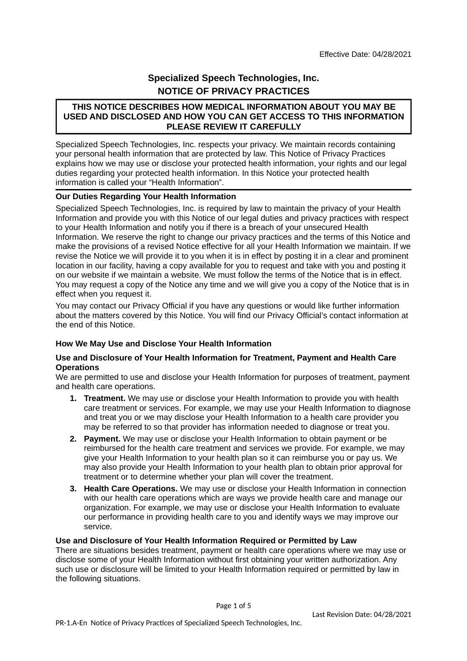# **Specialized Speech Technologies, Inc. NOTICE OF PRIVACY PRACTICES**

# **THIS NOTICE DESCRIBES HOW MEDICAL INFORMATION ABOUT YOU MAY BE USED AND DISCLOSED AND HOW YOU CAN GET ACCESS TO THIS INFORMATION PLEASE REVIEW IT CAREFULLY**

Specialized Speech Technologies, Inc. respects your privacy. We maintain records containing your personal health information that are protected by law. This Notice of Privacy Practices explains how we may use or disclose your protected health information, your rights and our legal duties regarding your protected health information. In this Notice your protected health information is called your "Health Information".

# **Our Duties Regarding Your Health Information**

Specialized Speech Technologies, Inc. is required by law to maintain the privacy of your Health Information and provide you with this Notice of our legal duties and privacy practices with respect to your Health Information and notify you if there is a breach of your unsecured Health Information. We reserve the right to change our privacy practices and the terms of this Notice and make the provisions of a revised Notice effective for all your Health Information we maintain. If we revise the Notice we will provide it to you when it is in effect by posting it in a clear and prominent location in our facility, having a copy available for you to request and take with you and posting it on our website if we maintain a website. We must follow the terms of the Notice that is in effect. You may request a copy of the Notice any time and we will give you a copy of the Notice that is in effect when you request it.

You may contact our Privacy Official if you have any questions or would like further information about the matters covered by this Notice. You will find our Privacy Official's contact information at the end of this Notice.

# **How We May Use and Disclose Your Health Information**

#### **Use and Disclosure of Your Health Information for Treatment, Payment and Health Care Operations**

We are permitted to use and disclose your Health Information for purposes of treatment, payment and health care operations.

- **1. Treatment.** We may use or disclose your Health Information to provide you with health care treatment or services. For example, we may use your Health Information to diagnose and treat you or we may disclose your Health Information to a health care provider you may be referred to so that provider has information needed to diagnose or treat you.
- **2. Payment.** We may use or disclose your Health Information to obtain payment or be reimbursed for the health care treatment and services we provide. For example, we may give your Health Information to your health plan so it can reimburse you or pay us. We may also provide your Health Information to your health plan to obtain prior approval for treatment or to determine whether your plan will cover the treatment.
- **3. Health Care Operations.** We may use or disclose your Health Information in connection with our health care operations which are ways we provide health care and manage our organization. For example, we may use or disclose your Health Information to evaluate our performance in providing health care to you and identify ways we may improve our service.

# **Use and Disclosure of Your Health Information Required or Permitted by Law**

There are situations besides treatment, payment or health care operations where we may use or disclose some of your Health Information without first obtaining your written authorization. Any such use or disclosure will be limited to your Health Information required or permitted by law in the following situations.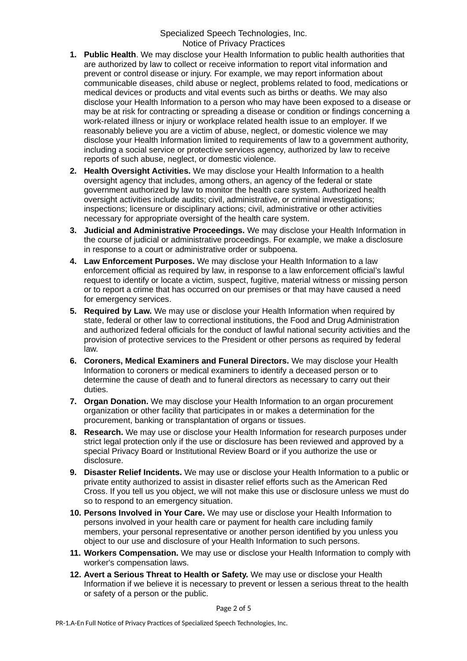- **1. Public Health**. We may disclose your Health Information to public health authorities that are authorized by law to collect or receive information to report vital information and prevent or control disease or injury. For example, we may report information about communicable diseases, child abuse or neglect, problems related to food, medications or medical devices or products and vital events such as births or deaths. We may also disclose your Health Information to a person who may have been exposed to a disease or may be at risk for contracting or spreading a disease or condition or findings concerning a work-related illness or injury or workplace related health issue to an employer. If we reasonably believe you are a victim of abuse, neglect, or domestic violence we may disclose your Health Information limited to requirements of law to a government authority, including a social service or protective services agency, authorized by law to receive reports of such abuse, neglect, or domestic violence.
- **2. Health Oversight Activities.** We may disclose your Health Information to a health oversight agency that includes, among others, an agency of the federal or state government authorized by law to monitor the health care system. Authorized health oversight activities include audits; civil, administrative, or criminal investigations; inspections; licensure or disciplinary actions; civil, administrative or other activities necessary for appropriate oversight of the health care system.
- **3. Judicial and Administrative Proceedings.** We may disclose your Health Information in the course of judicial or administrative proceedings. For example, we make a disclosure in response to a court or administrative order or subpoena.
- **4. Law Enforcement Purposes.** We may disclose your Health Information to a law enforcement official as required by law, in response to a law enforcement official's lawful request to identify or locate a victim, suspect, fugitive, material witness or missing person or to report a crime that has occurred on our premises or that may have caused a need for emergency services.
- **5. Required by Law.** We may use or disclose your Health Information when required by state, federal or other law to correctional institutions, the Food and Drug Administration and authorized federal officials for the conduct of lawful national security activities and the provision of protective services to the President or other persons as required by federal law.
- **6. Coroners, Medical Examiners and Funeral Directors.** We may disclose your Health Information to coroners or medical examiners to identify a deceased person or to determine the cause of death and to funeral directors as necessary to carry out their duties.
- **7. Organ Donation.** We may disclose your Health Information to an organ procurement organization or other facility that participates in or makes a determination for the procurement, banking or transplantation of organs or tissues.
- **8. Research.** We may use or disclose your Health Information for research purposes under strict legal protection only if the use or disclosure has been reviewed and approved by a special Privacy Board or Institutional Review Board or if you authorize the use or disclosure.
- **9. Disaster Relief Incidents.** We may use or disclose your Health Information to a public or private entity authorized to assist in disaster relief efforts such as the American Red Cross. If you tell us you object, we will not make this use or disclosure unless we must do so to respond to an emergency situation.
- **10. Persons Involved in Your Care.** We may use or disclose your Health Information to persons involved in your health care or payment for health care including family members, your personal representative or another person identified by you unless you object to our use and disclosure of your Health Information to such persons.
- **11. Workers Compensation.** We may use or disclose your Health Information to comply with worker's compensation laws.
- **12. Avert a Serious Threat to Health or Safety.** We may use or disclose your Health Information if we believe it is necessary to prevent or lessen a serious threat to the health or safety of a person or the public.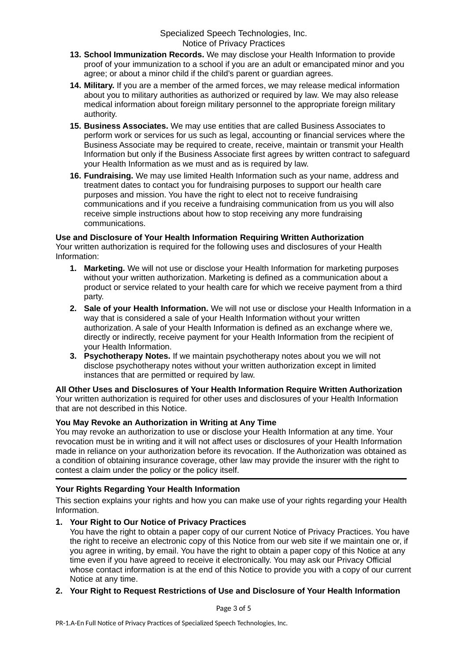- **13. School Immunization Records.** We may disclose your Health Information to provide proof of your immunization to a school if you are an adult or emancipated minor and you agree; or about a minor child if the child's parent or guardian agrees.
- **14. Military.** If you are a member of the armed forces, we may release medical information about you to military authorities as authorized or required by law. We may also release medical information about foreign military personnel to the appropriate foreign military authority.
- **15. Business Associates.** We may use entities that are called Business Associates to perform work or services for us such as legal, accounting or financial services where the Business Associate may be required to create, receive, maintain or transmit your Health Information but only if the Business Associate first agrees by written contract to safeguard your Health Information as we must and as is required by law.
- **16. Fundraising.** We may use limited Health Information such as your name, address and treatment dates to contact you for fundraising purposes to support our health care purposes and mission. You have the right to elect not to receive fundraising communications and if you receive a fundraising communication from us you will also receive simple instructions about how to stop receiving any more fundraising communications.

#### **Use and Disclosure of Your Health Information Requiring Written Authorization**

Your written authorization is required for the following uses and disclosures of your Health Information:

- **1. Marketing.** We will not use or disclose your Health Information for marketing purposes without your written authorization. Marketing is defined as a communication about a product or service related to your health care for which we receive payment from a third party.
- **2. Sale of your Health Information.** We will not use or disclose your Health Information in a way that is considered a sale of your Health Information without your written authorization. A sale of your Health Information is defined as an exchange where we, directly or indirectly, receive payment for your Health Information from the recipient of your Health Information.
- **3. Psychotherapy Notes.** If we maintain psychotherapy notes about you we will not disclose psychotherapy notes without your written authorization except in limited instances that are permitted or required by law.

**All Other Uses and Disclosures of Your Health Information Require Written Authorization** Your written authorization is required for other uses and disclosures of your Health Information that are not described in this Notice.

# **You May Revoke an Authorization in Writing at Any Time**

You may revoke an authorization to use or disclose your Health Information at any time. Your revocation must be in writing and it will not affect uses or disclosures of your Health Information made in reliance on your authorization before its revocation. If the Authorization was obtained as a condition of obtaining insurance coverage, other law may provide the insurer with the right to contest a claim under the policy or the policy itself.

# **Your Rights Regarding Your Health Information**

This section explains your rights and how you can make use of your rights regarding your Health Information.

# **1. Your Right to Our Notice of Privacy Practices**

You have the right to obtain a paper copy of our current Notice of Privacy Practices. You have the right to receive an electronic copy of this Notice from our web site if we maintain one or, if you agree in writing, by email. You have the right to obtain a paper copy of this Notice at any time even if you have agreed to receive it electronically. You may ask our Privacy Official whose contact information is at the end of this Notice to provide you with a copy of our current Notice at any time.

# **2. Your Right to Request Restrictions of Use and Disclosure of Your Health Information**

Page 3 of 5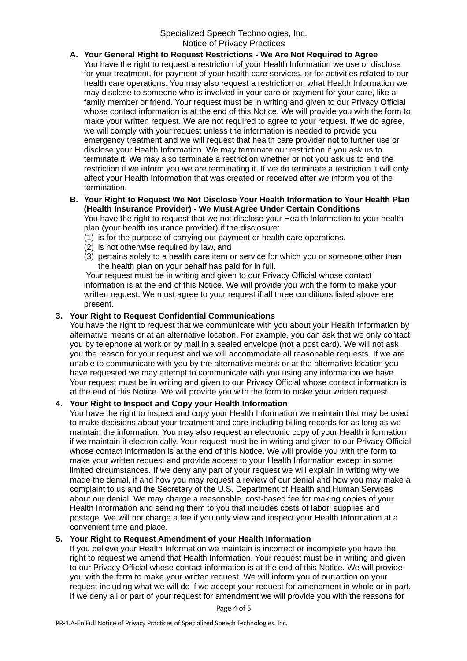- **A. Your General Right to Request Restrictions We Are Not Required to Agree** You have the right to request a restriction of your Health Information we use or disclose for your treatment, for payment of your health care services, or for activities related to our health care operations. You may also request a restriction on what Health Information we may disclose to someone who is involved in your care or payment for your care, like a family member or friend. Your request must be in writing and given to our Privacy Official whose contact information is at the end of this Notice. We will provide you with the form to make your written request. We are not required to agree to your request. If we do agree, we will comply with your request unless the information is needed to provide you emergency treatment and we will request that health care provider not to further use or disclose your Health Information. We may terminate our restriction if you ask us to terminate it. We may also terminate a restriction whether or not you ask us to end the restriction if we inform you we are terminating it. If we do terminate a restriction it will only affect your Health Information that was created or received after we inform you of the termination.
- **B. Your Right to Request We Not Disclose Your Health Information to Your Health Plan (Health Insurance Provider) - We Must Agree Under Certain Conditions** You have the right to request that we not disclose your Health Information to your health

plan (your health insurance provider) if the disclosure:

- (1) is for the purpose of carrying out payment or health care operations,
- (2) is not otherwise required by law, and
- (3) pertains solely to a health care item or service for which you or someone other than the health plan on your behalf has paid for in full.

 Your request must be in writing and given to our Privacy Official whose contact information is at the end of this Notice. We will provide you with the form to make your written request. We must agree to your request if all three conditions listed above are present.

# **3. Your Right to Request Confidential Communications**

You have the right to request that we communicate with you about your Health Information by alternative means or at an alternative location. For example, you can ask that we only contact you by telephone at work or by mail in a sealed envelope (not a post card). We will not ask you the reason for your request and we will accommodate all reasonable requests. If we are unable to communicate with you by the alternative means or at the alternative location you have requested we may attempt to communicate with you using any information we have. Your request must be in writing and given to our Privacy Official whose contact information is at the end of this Notice. We will provide you with the form to make your written request.

# **4. Your Right to Inspect and Copy your Health Information**

You have the right to inspect and copy your Health Information we maintain that may be used to make decisions about your treatment and care including billing records for as long as we maintain the information. You may also request an electronic copy of your Health information if we maintain it electronically. Your request must be in writing and given to our Privacy Official whose contact information is at the end of this Notice. We will provide you with the form to make your written request and provide access to your Health Information except in some limited circumstances. If we deny any part of your request we will explain in writing why we made the denial, if and how you may request a review of our denial and how you may make a complaint to us and the Secretary of the U.S. Department of Health and Human Services about our denial. We may charge a reasonable, cost-based fee for making copies of your Health Information and sending them to you that includes costs of labor, supplies and postage. We will not charge a fee if you only view and inspect your Health Information at a convenient time and place.

# **5. Your Right to Request Amendment of your Health Information**

If you believe your Health Information we maintain is incorrect or incomplete you have the right to request we amend that Health Information. Your request must be in writing and given to our Privacy Official whose contact information is at the end of this Notice. We will provide you with the form to make your written request. We will inform you of our action on your request including what we will do if we accept your request for amendment in whole or in part. If we deny all or part of your request for amendment we will provide you with the reasons for

Page 4 of 5